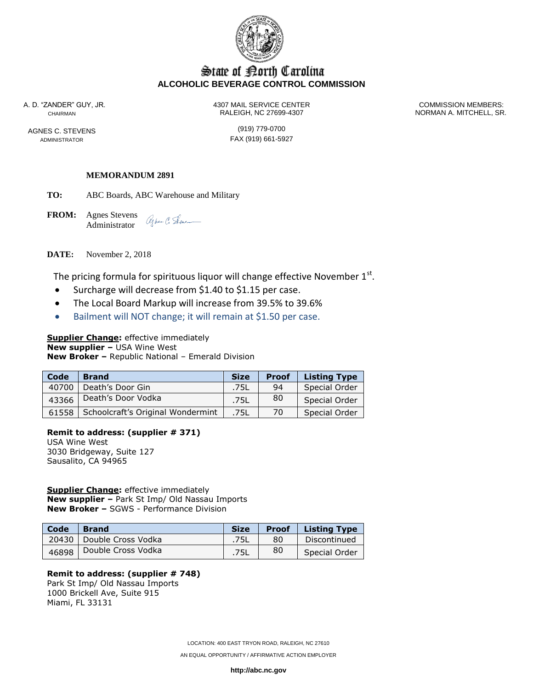

## State of Borth Carolina **ALCOHOLIC BEVERAGE CONTROL COMMISSION**

AGNES C. STEVENS (919) 779-0700

A. D. "ZANDER" GUY, JR. 4307 MAIL SERVICE CENTER COMMISSION MEMBERS: CHAIRMAN RALEIGH, NC 27699-4307 NORMAN A. MITCHELL, SR.

ADMINISTRATOR **FAX** (919) 661-5927

#### **MEMORANDUM 2891**

**TO:** ABC Boards, ABC Warehouse and Military

**FROM:** Agnes Stevens Alper C. Sene Administrator

**DATE:** November 2, 2018

The pricing formula for spirituous liquor will change effective November  $1<sup>st</sup>$ .

- Surcharge will decrease from \$1.40 to \$1.15 per case.
- The Local Board Markup will increase from 39.5% to 39.6%
- Bailment will NOT change; it will remain at \$1.50 per case.

## **Supplier Change:** effective immediately

**New supplier –** USA Wine West **New Broker –** Republic National – Emerald Division

| Code  | <b>Brand</b>                      | <b>Size</b> | <b>Proof</b> | <b>Listing Type</b> |
|-------|-----------------------------------|-------------|--------------|---------------------|
| 40700 | Death's Door Gin                  | .75L        | 94           | Special Order       |
| 43366 | Death's Door Vodka                | .75L        | 80           | Special Order       |
| 61558 | Schoolcraft's Original Wondermint | .75L        | 70           | Special Order       |

## **Remit to address: (supplier # 371)**

USA Wine West 3030 Bridgeway, Suite 127 Sausalito, CA 94965

#### **Supplier Change:** effective immediately

**New supplier –** Park St Imp/ Old Nassau Imports **New Broker –** SGWS - Performance Division

| Code  | <b>Brand</b>       | <b>Size</b> | <b>Proof</b> | <b>Listing Type</b> |
|-------|--------------------|-------------|--------------|---------------------|
| 20430 | Double Cross Vodka | .75L        | 80           | Discontinued        |
| 46898 | Double Cross Vodka | .75L        | 80           | Special Order       |

#### **Remit to address: (supplier # 748)**

Park St Imp/ Old Nassau Imports 1000 Brickell Ave, Suite 915 Miami, FL 33131

LOCATION: 400 EAST TRYON ROAD, RALEIGH, NC 27610

AN EQUAL OPPORTUNITY / AFFIRMATIVE ACTION EMPLOYER

**http://abc.nc.gov**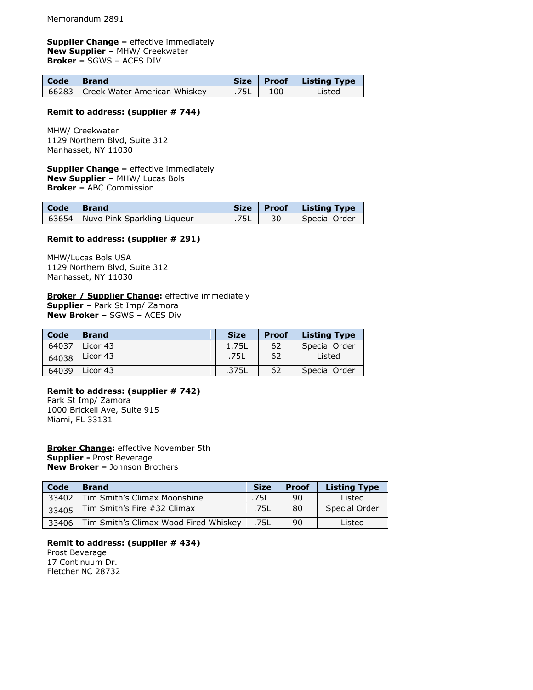#### **Supplier Change -** effective immediately **New Supplier –** MHW/ Creekwater **Broker –** SGWS – ACES DIV

| Code Brand |                                      |          | Size   Proof   Listing Type |
|------------|--------------------------------------|----------|-----------------------------|
|            | 66283   Creek Water American Whiskey | .75L 100 | Listed                      |

#### **Remit to address: (supplier # 744)**

MHW/ Creekwater 1129 Northern Blvd, Suite 312 Manhasset, NY 11030

**Supplier Change -** effective immediately **New Supplier –** MHW/ Lucas Bols **Broker –** ABC Commission

| Code Brand |                                   |      |    | Size   Proof   Listing Type |
|------------|-----------------------------------|------|----|-----------------------------|
|            | 63654 Nuvo Pink Sparkling Liqueur | .75L | 30 | Special Order               |

#### **Remit to address: (supplier # 291)**

MHW/Lucas Bols USA 1129 Northern Blvd, Suite 312 Manhasset, NY 11030

## **Broker / Supplier Change:** effective immediately

**Supplier –** Park St Imp/ Zamora **New Broker –** SGWS – ACES Div

| Code  | <b>Brand</b> | <b>Size</b> | <b>Proof</b> | <b>Listing Type</b> |
|-------|--------------|-------------|--------------|---------------------|
| 64037 | Licor 43     | 1.75L       | 62           | Special Order       |
| 64038 | Licor 43     | .75L        | 62           | Listed              |
| 64039 | Licor 43     | .375L       | 62           | Special Order       |

# **Remit to address: (supplier # 742)**

Park St Imp/ Zamora 1000 Brickell Ave, Suite 915 Miami, FL 33131

**Broker Change:** effective November 5th **Supplier -** Prost Beverage **New Broker –** Johnson Brothers

| Code  | <b>Brand</b>                          | <b>Size</b> | <b>Proof</b> | <b>Listing Type</b> |
|-------|---------------------------------------|-------------|--------------|---------------------|
| 33402 | Tim Smith's Climax Moonshine          | .75L        | 90           | Listed              |
| 33405 | Tim Smith's Fire #32 Climax           | .75L        | 80           | Special Order       |
| 33406 | Tim Smith's Climax Wood Fired Whiskey | .75L        | 90           | Listed              |

#### **Remit to address: (supplier # 434)**

Prost Beverage 17 Continuum Dr. Fletcher NC 28732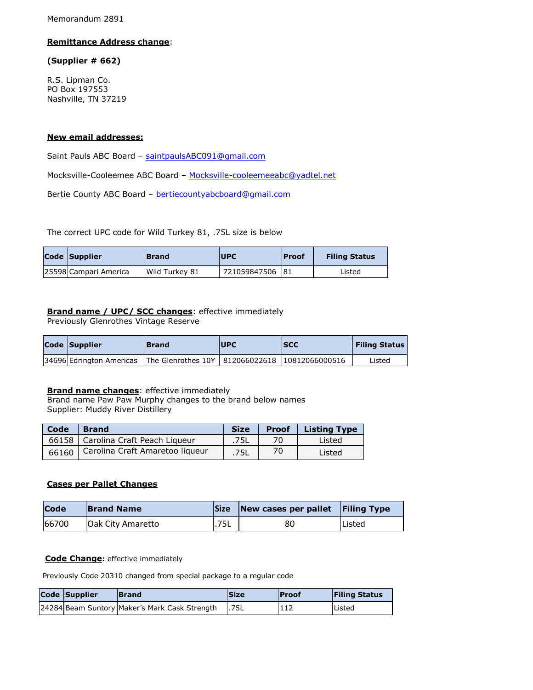Memorandum 2891

#### **Remittance Address change**:

#### **(Supplier # 662)**

R.S. Lipman Co. PO Box 197553 Nashville, TN 37219

#### **New email addresses:**

Saint Pauls ABC Board - [saintpaulsABC091@gmail.com](mailto:saintpaulsABC091@gmail.com)

Mocksville-Cooleemee ABC Board – [Mocksville-cooleemeeabc@yadtel.net](mailto:Mocksville-cooleemeeabc@yadtel.net)

Bertie County ABC Board – [bertiecountyabcboard@gmail.com](mailto:bertiecountyabcboard@gmail.com)

The correct UPC code for Wild Turkey 81, .75L size is below

| Code Supplier         | <b>Brand</b>   | <b>UPC</b>   | <b>IProof</b> | <b>Filing Status</b> |
|-----------------------|----------------|--------------|---------------|----------------------|
| 25598 Campari America | Wild Turkey 81 | 721059847506 | <b>81</b>     | Listed               |

#### **Brand name / UPC/ SCC changes**: effective immediately

Previously Glenrothes Vintage Reserve

| Code Supplier            | <b>Brand</b>                                       | <b>IUPC</b> | <b>ISCC</b> | <b>Filing Status</b> |
|--------------------------|----------------------------------------------------|-------------|-------------|----------------------|
| 34696 Edrington Americas | The Glenrothes 10Y   812066022618   10812066000516 |             |             | Listed               |

#### **Brand name changes**: effective immediately

Brand name Paw Paw Murphy changes to the brand below names Supplier: Muddy River Distillery

| Code  | <b>Brand</b>                         | <b>Size</b> | <b>Proof</b> | <b>Listing Type</b> |
|-------|--------------------------------------|-------------|--------------|---------------------|
|       | 66158   Carolina Craft Peach Liqueur | .75L        | 70           | Listed              |
| 66160 | Carolina Craft Amaretoo liqueur      | .75L        | 70           | Listed              |

## **Cases per Pallet Changes**

| <b>Code</b> | <b>Brand Name</b>        | <b>Size</b> | New cases per pallet Filing Type |         |
|-------------|--------------------------|-------------|----------------------------------|---------|
| 66700       | <b>Oak City Amaretto</b> | .75L        | 80                               | lListed |

### **Code Change:** effective immediately

Previously Code 20310 changed from special package to a regular code

| Code Supplier | <b>Brand</b>                                        | <b>Size</b> | <b>Proof</b> | <b>Filing Status</b> |
|---------------|-----------------------------------------------------|-------------|--------------|----------------------|
|               | 24284 Beam Suntory Maker's Mark Cask Strength 1.75L |             | 112          | <b>Listed</b>        |